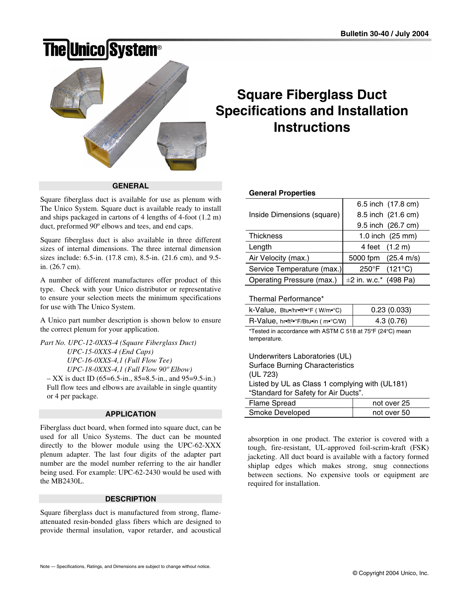# **The Unico System®**



# **Square Fiberglass Duct Specifications and Installation Instructions**

**GENERAL** 

Square fiberglass duct is available for use as plenum with The Unico System. Square duct is available ready to install and ships packaged in cartons of 4 lengths of 4-foot (1.2 m) duct, preformed 90º elbows and tees, and end caps.

Square fiberglass duct is also available in three different sizes of internal dimensions. The three internal dimension sizes include: 6.5-in. (17.8 cm), 8.5-in. (21.6 cm), and 9.5 in. (26.7 cm).

A number of different manufactures offer product of this type. Check with your Unico distributor or representative to ensure your selection meets the minimum specifications for use with The Unico System.

A Unico part number description is shown below to ensure the correct plenum for your application.

*Part No. UPC-12-0XXS-4 (Square Fiberglass Duct) UPC-15-0XXS-4 (End Caps) UPC-16-0XXS-4,1 (Full Flow Tee) UPC-18-0XXS-4,1 (Full Flow 90º Elbow)*   $-$  XX is duct ID (65=6.5-in., 85=8.5-in., and 95=9.5-in.) Full flow tees and elbows are available in single quantity

or 4 per package.

**APPLICATION** 

Fiberglass duct board, when formed into square duct, can be used for all Unico Systems. The duct can be mounted directly to the blower module using the UPC-62-XXX plenum adapter. The last four digits of the adapter part number are the model number referring to the air handler being used. For example: UPC-62-2430 would be used with the MB2430L.

## **DESCRIPTION**

Square fiberglass duct is manufactured from strong, flameattenuated resin-bonded glass fibers which are designed to provide thermal insulation, vapor retarder, and acoustical

## **General Properties**

|                            | 6.5 inch (17.8 cm)      |
|----------------------------|-------------------------|
| Inside Dimensions (square) | 8.5 inch (21.6 cm)      |
|                            | 9.5 inch (26.7 cm)      |
| <b>Thickness</b>           | 1.0 inch (25 mm)        |
| Length                     | 4 feet (1.2 m)          |
| Air Velocity (max.)        | 5000 fpm (25.4 m/s)     |
| Service Temperature (max.) | 250°F (121°C)           |
| Operating Pressure (max.)  | $±2$ in. w.c.* (498 Pa) |

## Thermal Performance\*

| $k\text{-Value}$ , Btu•/hr•ft <sup>2•</sup> °F (W/m•°C) | 0.23(0.033) |
|---------------------------------------------------------|-------------|
| R-Value, hr•ft <sup>2•</sup> °F/Btu•in (m•°C/W)         | 4.3 (0.76)  |

\*Tested in accordance with ASTM C 518 at 75ºF (24ºC) mean temperature.

| Underwriters Laboratories (UL)                 |  |  |
|------------------------------------------------|--|--|
| <b>Surface Burning Characteristics</b>         |  |  |
| (UL 723)                                       |  |  |
| Listed by UL as Class 1 complying with (UL181) |  |  |
| "Standard for Safety for Air Ducts".           |  |  |
|                                                |  |  |

| Flame Spread    | not over 25 |
|-----------------|-------------|
| Smoke Developed | not over 50 |

absorption in one product. The exterior is covered with a tough, fire-resistant, UL-approved foil-scrim-kraft (FSK) jacketing. All duct board is available with a factory formed shiplap edges which makes strong, snug connections between sections. No expensive tools or equipment are required for installation.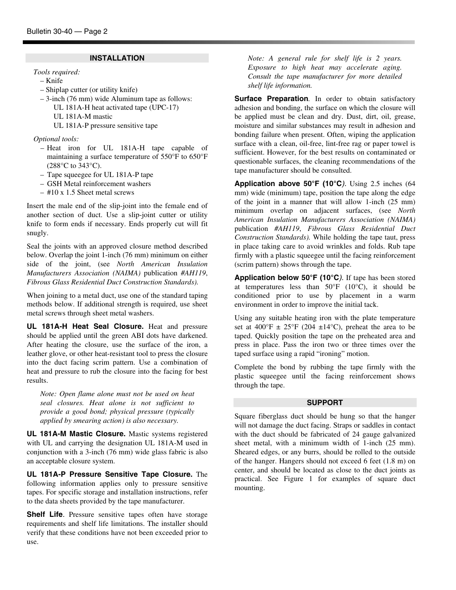#### **INSTALLATION**

*Tools required:* 

- Knife
- Shiplap cutter (or utility knife)
- 3-inch (76 mm) wide Aluminum tape as follows:
	- UL 181A-H heat activated tape (UPC-17)
	- UL 181A-M mastic
	- UL 181A-P pressure sensitive tape

*Optional tools:* 

- Heat iron for UL 181A-H tape capable of maintaining a surface temperature of 550°F to 650°F (288°C to 343°C).
- Tape squeegee for UL 181A-P tape
- GSH Metal reinforcement washers
- #10 x 1.5 Sheet metal screws

Insert the male end of the slip-joint into the female end of another section of duct. Use a slip-joint cutter or utility knife to form ends if necessary. Ends properly cut will fit snugly.

Seal the joints with an approved closure method described below. Overlap the joint 1-inch (76 mm) minimum on either side of the joint, (see *North American Insulation Manufacturers Association (NAIMA)* publication *#AH119*, *Fibrous Glass Residential Duct Construction Standards).* 

When joining to a metal duct, use one of the standard taping methods below. If additional strength is required, use sheet metal screws through sheet metal washers.

**UL 181A-H Heat Seal Closure.** Heat and pressure should be applied until the green ABI dots have darkened. After heating the closure, use the surface of the iron, a leather glove, or other heat-resistant tool to press the closure into the duct facing scrim pattern. Use a combination of heat and pressure to rub the closure into the facing for best results.

*Note: Open flame alone must not be used on heat seal closures. Heat alone is not sufficient to provide a good bond; physical pressure (typically applied by smearing action) is also necessary.* 

**UL 181A-M Mastic Closure.** Mastic systems registered with UL and carrying the designation UL 181A-M used in conjunction with a 3-inch (76 mm) wide glass fabric is also an acceptable closure system.

**UL 181A-P Pressure Sensitive Tape Closure.** The following information applies only to pressure sensitive tapes. For specific storage and installation instructions, refer to the data sheets provided by the tape manufacturer.

**Shelf Life***.* Pressure sensitive tapes often have storage requirements and shelf life limitations. The installer should verify that these conditions have not been exceeded prior to use.

*Note: A general rule for shelf life is 2 years. Exposure to high heat may accelerate aging. Consult the tape manufacturer for more detailed shelf life information.* 

**Surface Preparation**. In order to obtain satisfactory adhesion and bonding, the surface on which the closure will be applied must be clean and dry. Dust, dirt, oil, grease, moisture and similar substances may result in adhesion and bonding failure when present. Often, wiping the application surface with a clean, oil-free, lint-free rag or paper towel is sufficient. However, for the best results on contaminated or questionable surfaces, the cleaning recommendations of the tape manufacturer should be consulted.

**Application above 50°F (10°C***).* Using 2.5 inches (64 mm) wide (minimum) tape, position the tape along the edge of the joint in a manner that will allow 1-inch (25 mm) minimum overlap on adjacent surfaces, (see *North American Insulation Manufacturers Association (NAIMA)*  publication *#AH119*, *Fibrous Glass Residential Duct Construction Standards).* While holding the tape taut, press in place taking care to avoid wrinkles and folds. Rub tape firmly with a plastic squeegee until the facing reinforcement (scrim pattern) shows through the tape.

**Application below 50°F (10°C***).* If tape has been stored at temperatures less than 50°F (10°C), it should be conditioned prior to use by placement in a warm environment in order to improve the initial tack.

Using any suitable heating iron with the plate temperature set at  $400^{\circ}$ F  $\pm$  25°F (204  $\pm$ 14°C), preheat the area to be taped. Quickly position the tape on the preheated area and press in place. Pass the iron two or three times over the taped surface using a rapid "ironing" motion.

Complete the bond by rubbing the tape firmly with the plastic squeegee until the facing reinforcement shows through the tape.

#### **SUPPORT**

Square fiberglass duct should be hung so that the hanger will not damage the duct facing. Straps or saddles in contact with the duct should be fabricated of 24 gauge galvanized sheet metal, with a minimum width of 1-inch (25 mm). Sheared edges, or any burrs, should be rolled to the outside of the hanger. Hangers should not exceed 6 feet (1.8 m) on center, and should be located as close to the duct joints as practical. See Figure 1 for examples of square duct mounting.